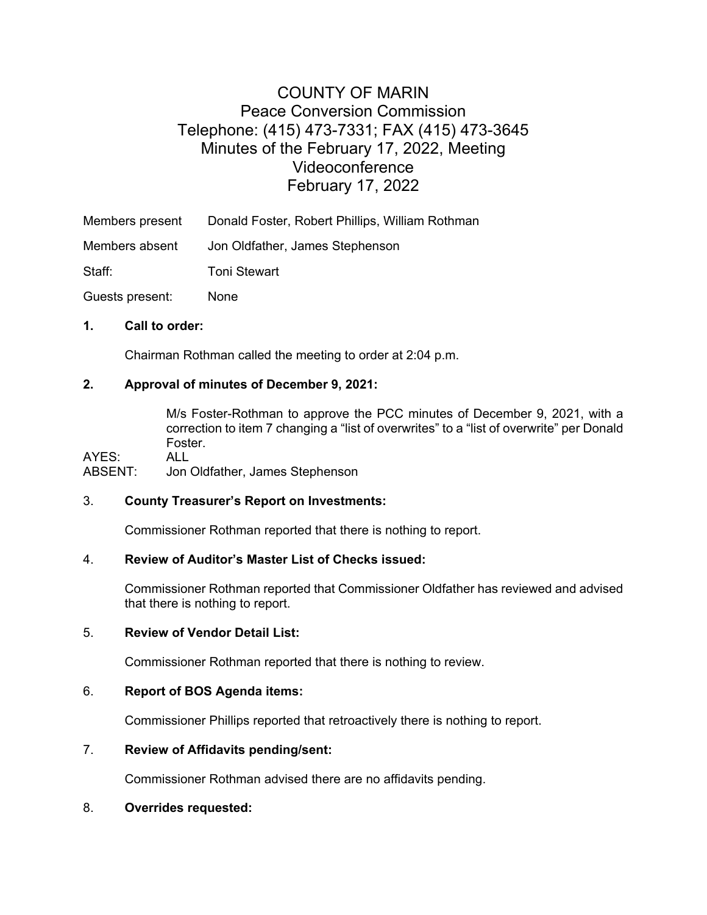# COUNTY OF MARIN Peace Conversion Commission Telephone: (415) 473-7331; FAX (415) 473-3645 Minutes of the February 17, 2022, Meeting Videoconference February 17, 2022

Members present Donald Foster, Robert Phillips, William Rothman

Members absent Jon Oldfather, James Stephenson

Staff: Toni Stewart

Guests present: None

#### **1. Call to order:**

Chairman Rothman called the meeting to order at 2:04 p.m.

# **2. Approval of minutes of December 9, 2021:**

M/s Foster-Rothman to approve the PCC minutes of December 9, 2021, with a correction to item 7 changing a "list of overwrites" to a "list of overwrite" per Donald Foster.

AYES: ALL<br>ABSENT: Jon Jon Oldfather, James Stephenson

#### 3. **County Treasurer's Report on Investments:**

Commissioner Rothman reported that there is nothing to report.

# 4. **Review of Auditor's Master List of Checks issued:**

Commissioner Rothman reported that Commissioner Oldfather has reviewed and advised that there is nothing to report.

#### 5. **Review of Vendor Detail List:**

Commissioner Rothman reported that there is nothing to review.

# 6. **Report of BOS Agenda items:**

Commissioner Phillips reported that retroactively there is nothing to report.

# 7. **Review of Affidavits pending/sent:**

Commissioner Rothman advised there are no affidavits pending.

# 8. **Overrides requested:**